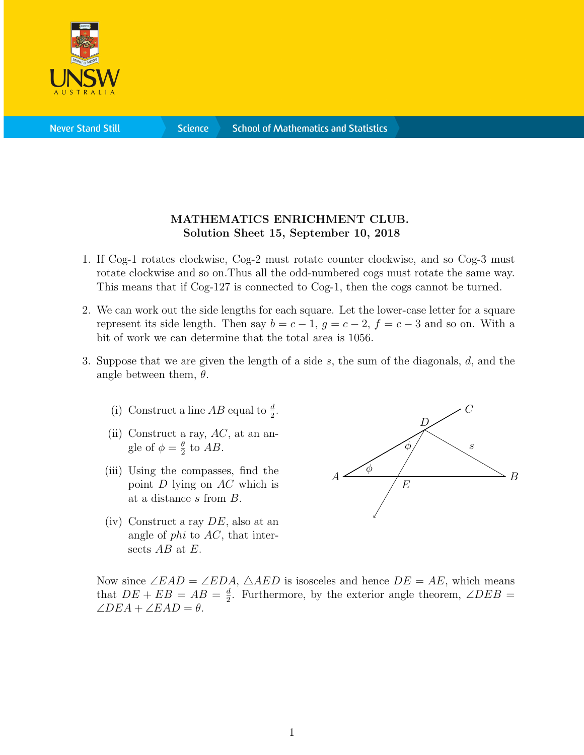

**Science** 

## MATHEMATICS ENRICHMENT CLUB. Solution Sheet 15, September 10, 2018

- 1. If Cog-1 rotates clockwise, Cog-2 must rotate counter clockwise, and so Cog-3 must rotate clockwise and so on.Thus all the odd-numbered cogs must rotate the same way. This means that if Cog-127 is connected to Cog-1, then the cogs cannot be turned.
- 2. We can work out the side lengths for each square. Let the lower-case letter for a square represent its side length. Then say  $b = c - 1$ ,  $g = c - 2$ ,  $f = c - 3$  and so on. With a bit of work we can determine that the total area is 1056.
- 3. Suppose that we are given the length of a side s, the sum of the diagonals, d, and the angle between them,  $\theta$ .
	- (i) Construct a line  $AB$  equal to  $\frac{d}{2}$ .
	- (ii) Construct a ray,  $AC$ , at an angle of  $\phi = \frac{\theta}{2}$  $\frac{\theta}{2}$  to  $AB$ .
	- (iii) Using the compasses, find the point D lying on AC which is at a distance s from B.
	- $(iv)$  Construct a ray  $DE$ , also at an angle of  $phi$  to  $AC$ , that intersects  $AB$  at  $E$ .



Now since  $\angle EAD = \angle EDA$ ,  $\triangle AED$  is isosceles and hence  $DE = AE$ , which means that  $DE + EB = AB = \frac{d}{2}$  $\frac{d}{2}$ . Furthermore, by the exterior angle theorem,  $\angle DEB =$  $\angle DEA + \angle EAD = \theta.$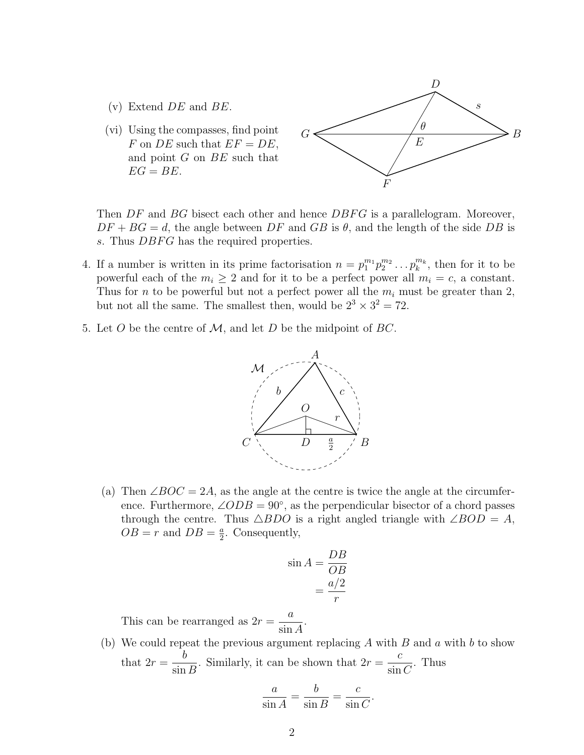- $(v)$  Extend  $DE$  and  $BE$ .
- (vi) Using the compasses, find point F on DE such that  $EF = DE$ , and point G on BE such that  $EG = BE$ .



Then  $DF$  and  $BG$  bisect each other and hence  $DBFG$  is a parallelogram. Moreover,  $DF + BG = d$ , the angle between DF and GB is  $\theta$ , and the length of the side DB is s. Thus DBFG has the required properties.

- 4. If a number is written in its prime factorisation  $n = p_1^{m_1} p_2^{m_2} \dots p_k^{m_k}$ , then for it to be powerful each of the  $m_i \geq 2$  and for it to be a perfect power all  $m_i = c$ , a constant. Thus for *n* to be powerful but not a perfect power all the  $m_i$  must be greater than 2, but not all the same. The smallest then, would be  $2^3 \times 3^2 = 72$ .
- 5. Let O be the centre of  $\mathcal{M}$ , and let D be the midpoint of BC.



(a) Then  $\angle BOC = 2A$ , as the angle at the centre is twice the angle at the circumference. Furthermore,  $\angle ODB = 90^{\circ}$ , as the perpendicular bisector of a chord passes through the centre. Thus  $\triangle BDO$  is a right angled triangle with  $\angle BOD = A$ ,  $OB = r$  and  $DB = \frac{a}{2}$  $\frac{a}{2}$ . Consequently,

$$
\sin A = \frac{DB}{OB} \\
= \frac{a/2}{r}
$$

This can be rearranged as  $2r =$ a sin A .

(b) We could repeat the previous argument replacing  $A$  with  $B$  and  $a$  with  $b$  to show that  $2r =$ b  $\sin B$ . Similarly, it can be shown that  $2r =$ c  $\sin C$ . Thus

$$
\frac{a}{\sin A} = \frac{b}{\sin B} = \frac{c}{\sin C}.
$$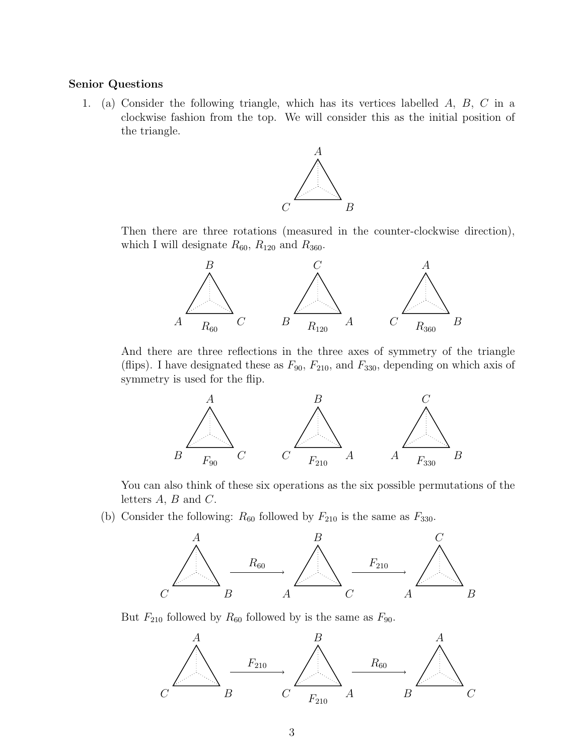## Senior Questions

1. (a) Consider the following triangle, which has its vertices labelled A, B, C in a clockwise fashion from the top. We will consider this as the initial position of the triangle.



Then there are three rotations (measured in the counter-clockwise direction), which I will designate  $R_{60}$ ,  $R_{120}$  and  $R_{360}$ .



And there are three reflections in the three axes of symmetry of the triangle (flips). I have designated these as  $F_{90}$ ,  $F_{210}$ , and  $F_{330}$ , depending on which axis of symmetry is used for the flip.



You can also think of these six operations as the six possible permutations of the letters A, B and C.

(b) Consider the following:  $R_{60}$  followed by  $F_{210}$  is the same as  $F_{330}$ .



But  $F_{210}$  followed by  $R_{60}$  followed by is the same as  $F_{90}$ .